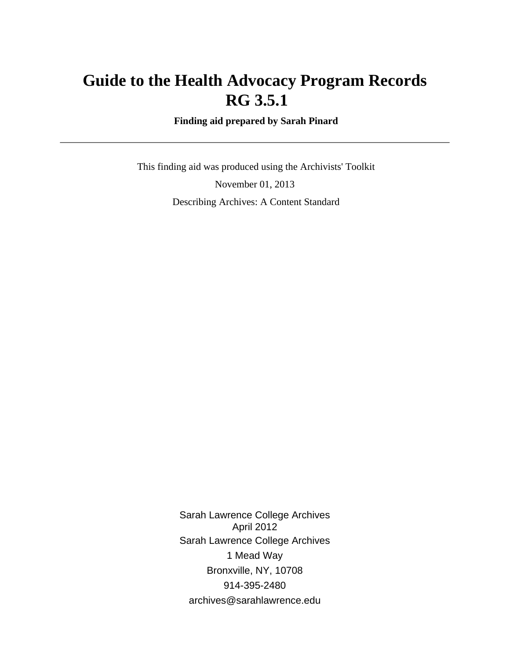# **Guide to the Health Advocacy Program Records RG 3.5.1**

 **Finding aid prepared by Sarah Pinard**

 This finding aid was produced using the Archivists' Toolkit November 01, 2013 Describing Archives: A Content Standard

> Sarah Lawrence College Archives April 2012 Sarah Lawrence College Archives 1 Mead Way Bronxville, NY, 10708 914-395-2480 archives@sarahlawrence.edu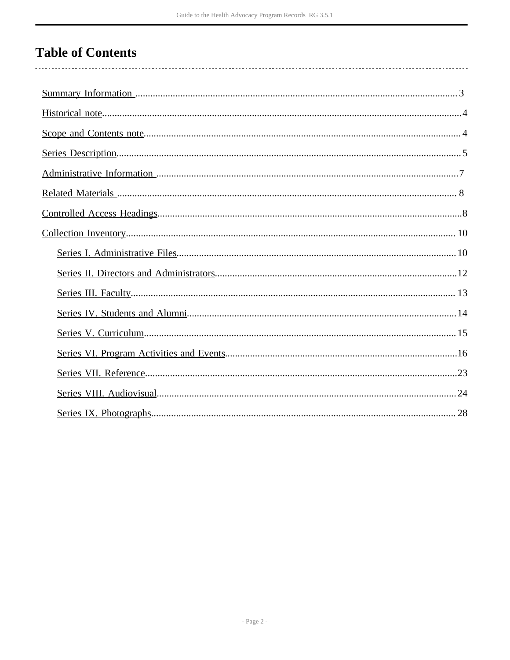# **Table of Contents**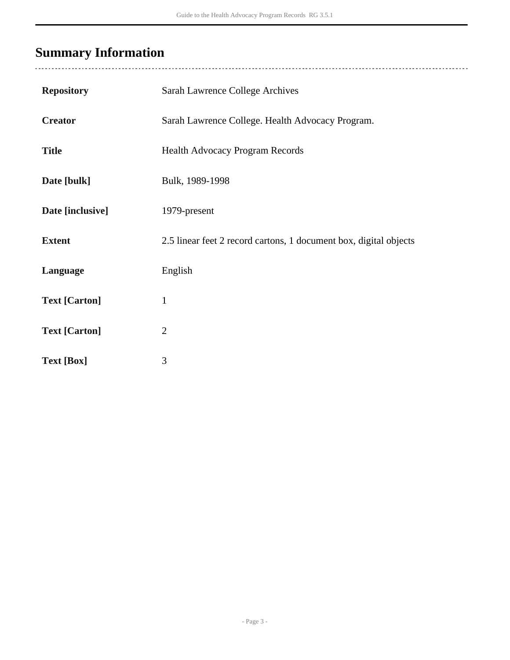# <span id="page-2-0"></span>**Summary Information**

| <b>Repository</b>    | Sarah Lawrence College Archives                                   |
|----------------------|-------------------------------------------------------------------|
| <b>Creator</b>       | Sarah Lawrence College. Health Advocacy Program.                  |
| <b>Title</b>         | <b>Health Advocacy Program Records</b>                            |
| Date [bulk]          | Bulk, 1989-1998                                                   |
| Date [inclusive]     | 1979-present                                                      |
| <b>Extent</b>        | 2.5 linear feet 2 record cartons, 1 document box, digital objects |
| Language             | English                                                           |
| <b>Text [Carton]</b> | $\mathbf{1}$                                                      |
| <b>Text [Carton]</b> | $\overline{2}$                                                    |
| <b>Text</b> [Box]    | 3                                                                 |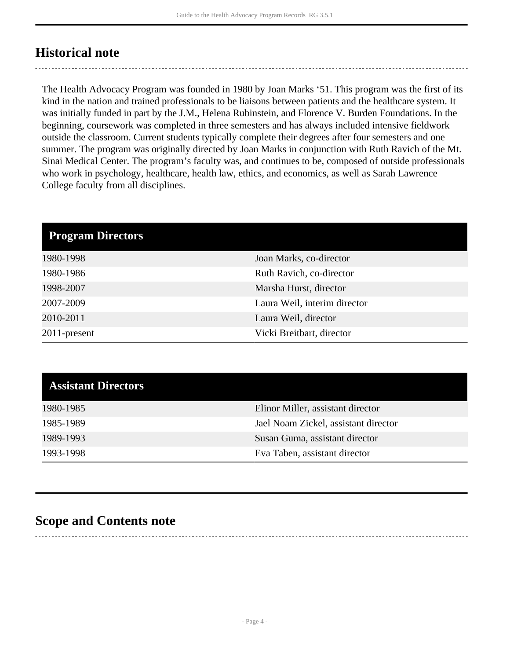# <span id="page-3-0"></span>**Historical note**

The Health Advocacy Program was founded in 1980 by Joan Marks '51. This program was the first of its kind in the nation and trained professionals to be liaisons between patients and the healthcare system. It was initially funded in part by the J.M., Helena Rubinstein, and Florence V. Burden Foundations. In the beginning, coursework was completed in three semesters and has always included intensive fieldwork outside the classroom. Current students typically complete their degrees after four semesters and one summer. The program was originally directed by Joan Marks in conjunction with Ruth Ravich of the Mt. Sinai Medical Center. The program's faculty was, and continues to be, composed of outside professionals who work in psychology, healthcare, health law, ethics, and economics, as well as Sarah Lawrence College faculty from all disciplines.

| <b>Program Directors</b> |                              |
|--------------------------|------------------------------|
| 1980-1998                | Joan Marks, co-director      |
| 1980-1986                | Ruth Ravich, co-director     |
| 1998-2007                | Marsha Hurst, director       |
| 2007-2009                | Laura Weil, interim director |
| 2010-2011                | Laura Weil, director         |
| $2011$ -present          | Vicki Breitbart, director    |

### **Assistant Directors**

| 1980-1985 | Elinor Miller, assistant director    |
|-----------|--------------------------------------|
| 1985-1989 | Jael Noam Zickel, assistant director |
| 1989-1993 | Susan Guma, assistant director       |
| 1993-1998 | Eva Taben, assistant director        |

## <span id="page-3-1"></span>**Scope and Contents note**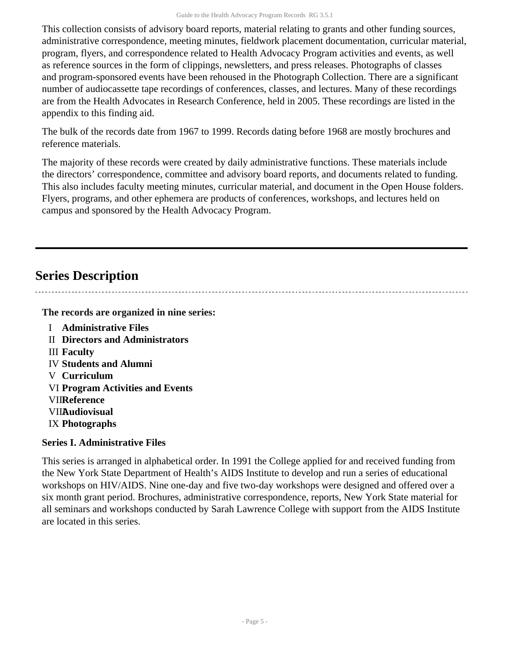This collection consists of advisory board reports, material relating to grants and other funding sources, administrative correspondence, meeting minutes, fieldwork placement documentation, curricular material, program, flyers, and correspondence related to Health Advocacy Program activities and events, as well as reference sources in the form of clippings, newsletters, and press releases. Photographs of classes and program-sponsored events have been rehoused in the Photograph Collection. There are a significant number of audiocassette tape recordings of conferences, classes, and lectures. Many of these recordings are from the Health Advocates in Research Conference, held in 2005. These recordings are listed in the appendix to this finding aid.

The bulk of the records date from 1967 to 1999. Records dating before 1968 are mostly brochures and reference materials.

The majority of these records were created by daily administrative functions. These materials include the directors' correspondence, committee and advisory board reports, and documents related to funding. This also includes faculty meeting minutes, curricular material, and document in the Open House folders. Flyers, programs, and other ephemera are products of conferences, workshops, and lectures held on campus and sponsored by the Health Advocacy Program.

## <span id="page-4-0"></span>**Series Description**

**The records are organized in nine series:**

I **Administrative Files** II **Directors and Administrators** III **Faculty** IV **Students and Alumni** V **Curriculum** VI **Program Activities and Events** VII**Reference** VIII**Audiovisual** IX **Photographs**

### **Series I. Administrative Files**

This series is arranged in alphabetical order. In 1991 the College applied for and received funding from the New York State Department of Health's AIDS Institute to develop and run a series of educational workshops on HIV/AIDS. Nine one-day and five two-day workshops were designed and offered over a six month grant period. Brochures, administrative correspondence, reports, New York State material for all seminars and workshops conducted by Sarah Lawrence College with support from the AIDS Institute are located in this series.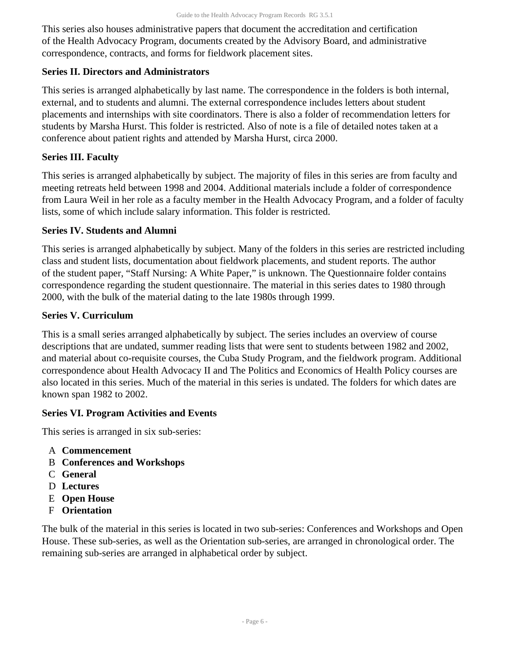This series also houses administrative papers that document the accreditation and certification of the Health Advocacy Program, documents created by the Advisory Board, and administrative correspondence, contracts, and forms for fieldwork placement sites.

### **Series II. Directors and Administrators**

This series is arranged alphabetically by last name. The correspondence in the folders is both internal, external, and to students and alumni. The external correspondence includes letters about student placements and internships with site coordinators. There is also a folder of recommendation letters for students by Marsha Hurst. This folder is restricted. Also of note is a file of detailed notes taken at a conference about patient rights and attended by Marsha Hurst, circa 2000.

### **Series III. Faculty**

This series is arranged alphabetically by subject. The majority of files in this series are from faculty and meeting retreats held between 1998 and 2004. Additional materials include a folder of correspondence from Laura Weil in her role as a faculty member in the Health Advocacy Program, and a folder of faculty lists, some of which include salary information. This folder is restricted.

### **Series IV. Students and Alumni**

This series is arranged alphabetically by subject. Many of the folders in this series are restricted including class and student lists, documentation about fieldwork placements, and student reports. The author of the student paper, "Staff Nursing: A White Paper," is unknown. The Questionnaire folder contains correspondence regarding the student questionnaire. The material in this series dates to 1980 through 2000, with the bulk of the material dating to the late 1980s through 1999.

### **Series V. Curriculum**

This is a small series arranged alphabetically by subject. The series includes an overview of course descriptions that are undated, summer reading lists that were sent to students between 1982 and 2002, and material about co-requisite courses, the Cuba Study Program, and the fieldwork program. Additional correspondence about Health Advocacy II and The Politics and Economics of Health Policy courses are also located in this series. Much of the material in this series is undated. The folders for which dates are known span 1982 to 2002.

### **Series VI. Program Activities and Events**

This series is arranged in six sub-series:

- A **Commencement**
- B **Conferences and Workshops**
- C **General**
- D **Lectures**
- E **Open House**
- F **Orientation**

The bulk of the material in this series is located in two sub-series: Conferences and Workshops and Open House. These sub-series, as well as the Orientation sub-series, are arranged in chronological order. The remaining sub-series are arranged in alphabetical order by subject.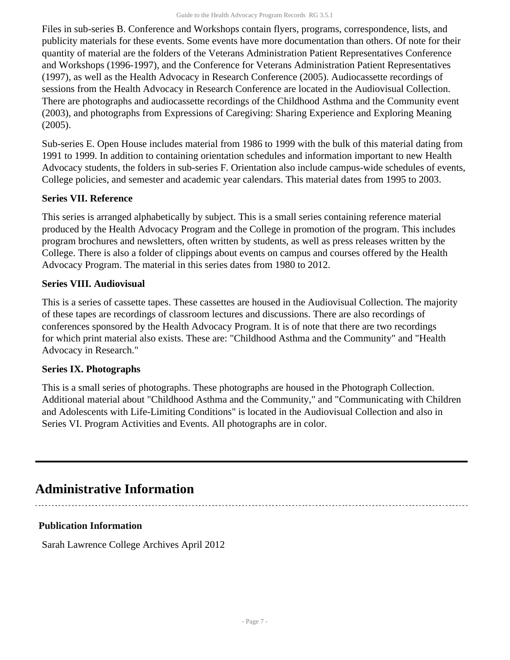Files in sub-series B. Conference and Workshops contain flyers, programs, correspondence, lists, and publicity materials for these events. Some events have more documentation than others. Of note for their quantity of material are the folders of the Veterans Administration Patient Representatives Conference and Workshops (1996-1997), and the Conference for Veterans Administration Patient Representatives (1997), as well as the Health Advocacy in Research Conference (2005). Audiocassette recordings of sessions from the Health Advocacy in Research Conference are located in the Audiovisual Collection. There are photographs and audiocassette recordings of the Childhood Asthma and the Community event (2003), and photographs from Expressions of Caregiving: Sharing Experience and Exploring Meaning (2005).

Sub-series E. Open House includes material from 1986 to 1999 with the bulk of this material dating from 1991 to 1999. In addition to containing orientation schedules and information important to new Health Advocacy students, the folders in sub-series F. Orientation also include campus-wide schedules of events, College policies, and semester and academic year calendars. This material dates from 1995 to 2003.

### **Series VII. Reference**

This series is arranged alphabetically by subject. This is a small series containing reference material produced by the Health Advocacy Program and the College in promotion of the program. This includes program brochures and newsletters, often written by students, as well as press releases written by the College. There is also a folder of clippings about events on campus and courses offered by the Health Advocacy Program. The material in this series dates from 1980 to 2012.

### **Series VIII. Audiovisual**

This is a series of cassette tapes. These cassettes are housed in the Audiovisual Collection. The majority of these tapes are recordings of classroom lectures and discussions. There are also recordings of conferences sponsored by the Health Advocacy Program. It is of note that there are two recordings for which print material also exists. These are: "Childhood Asthma and the Community" and "Health Advocacy in Research."

### **Series IX. Photographs**

This is a small series of photographs. These photographs are housed in the Photograph Collection. Additional material about "Childhood Asthma and the Community," and "Communicating with Children and Adolescents with Life-Limiting Conditions" is located in the Audiovisual Collection and also in Series VI. Program Activities and Events. All photographs are in color.

# <span id="page-6-0"></span>**Administrative Information**

### **Publication Information**

Sarah Lawrence College Archives April 2012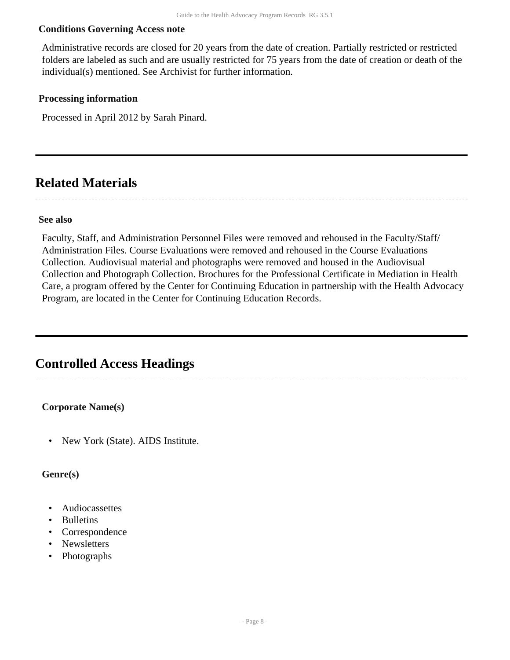### **Conditions Governing Access note**

Administrative records are closed for 20 years from the date of creation. Partially restricted or restricted folders are labeled as such and are usually restricted for 75 years from the date of creation or death of the individual(s) mentioned. See Archivist for further information.

### **Processing information**

Processed in April 2012 by Sarah Pinard.

# <span id="page-7-0"></span>**Related Materials**

#### **See also**

Faculty, Staff, and Administration Personnel Files were removed and rehoused in the Faculty/Staff/ Administration Files. Course Evaluations were removed and rehoused in the Course Evaluations Collection. Audiovisual material and photographs were removed and housed in the Audiovisual Collection and Photograph Collection. Brochures for the Professional Certificate in Mediation in Health Care, a program offered by the Center for Continuing Education in partnership with the Health Advocacy Program, are located in the Center for Continuing Education Records.

## <span id="page-7-1"></span>**Controlled Access Headings**

### **Corporate Name(s)**

• New York (State). AIDS Institute.

### **Genre(s)**

- Audiocassettes
- Bulletins
- Correspondence
- Newsletters
- Photographs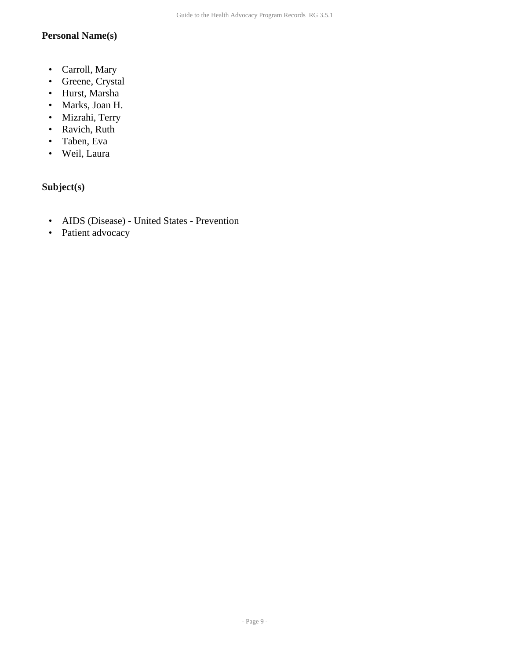### **Personal Name(s)**

- Carroll, Mary
- Greene, Crystal
- Hurst, Marsha
- Marks, Joan H.
- Mizrahi, Terry
- Ravich, Ruth
- Taben, Eva
- Weil, Laura

### **Subject(s)**

- AIDS (Disease) United States Prevention
- Patient advocacy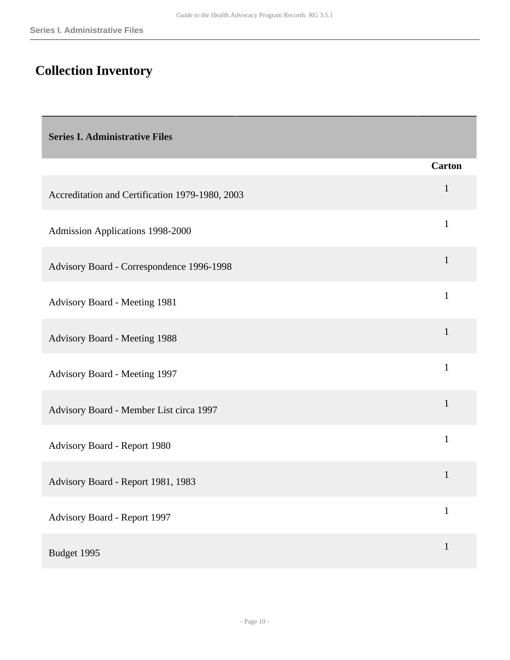# <span id="page-9-0"></span>**Collection Inventory**

<span id="page-9-1"></span>**Series I. Administrative Files** 

|                                                 | <b>Carton</b> |
|-------------------------------------------------|---------------|
| Accreditation and Certification 1979-1980, 2003 | $\mathbf{1}$  |
| Admission Applications 1998-2000                | $\mathbf{1}$  |
| Advisory Board - Correspondence 1996-1998       | $\mathbf{1}$  |
| Advisory Board - Meeting 1981                   | $\mathbf{1}$  |
| Advisory Board - Meeting 1988                   | $\mathbf{1}$  |
| Advisory Board - Meeting 1997                   | $\mathbf{1}$  |
| Advisory Board - Member List circa 1997         | $\mathbf{1}$  |
| Advisory Board - Report 1980                    | $\mathbf{1}$  |
| Advisory Board - Report 1981, 1983              | $\mathbf{1}$  |
| Advisory Board - Report 1997                    | $\mathbf{1}$  |
| Budget 1995                                     | $\mathbf{1}$  |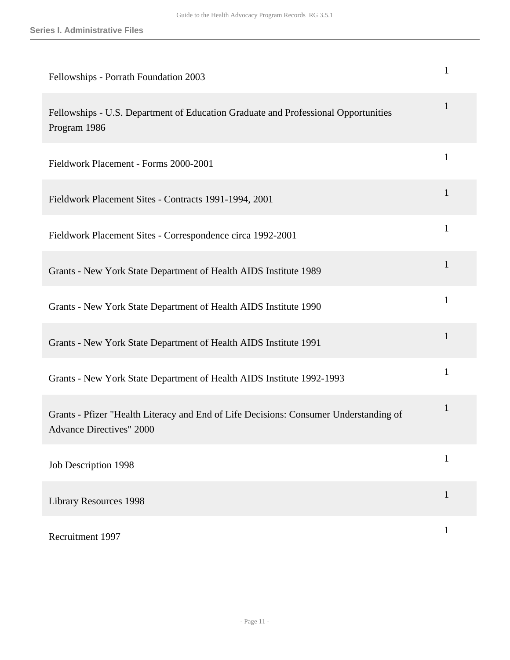| Fellowships - Porrath Foundation 2003                                                                                    | 1            |
|--------------------------------------------------------------------------------------------------------------------------|--------------|
| Fellowships - U.S. Department of Education Graduate and Professional Opportunities<br>Program 1986                       | $\mathbf{1}$ |
| Fieldwork Placement - Forms 2000-2001                                                                                    | $\mathbf{1}$ |
| Fieldwork Placement Sites - Contracts 1991-1994, 2001                                                                    | $\mathbf{1}$ |
| Fieldwork Placement Sites - Correspondence circa 1992-2001                                                               | $\mathbf{1}$ |
| Grants - New York State Department of Health AIDS Institute 1989                                                         | $\mathbf{1}$ |
| Grants - New York State Department of Health AIDS Institute 1990                                                         | $\mathbf{1}$ |
| Grants - New York State Department of Health AIDS Institute 1991                                                         | $\mathbf{1}$ |
| Grants - New York State Department of Health AIDS Institute 1992-1993                                                    | $\mathbf{1}$ |
| Grants - Pfizer "Health Literacy and End of Life Decisions: Consumer Understanding of<br><b>Advance Directives" 2000</b> | $\mathbf{1}$ |
| Job Description 1998                                                                                                     | $\mathbf{1}$ |
| <b>Library Resources 1998</b>                                                                                            | $\mathbf{1}$ |
| Recruitment 1997                                                                                                         | $\mathbf{1}$ |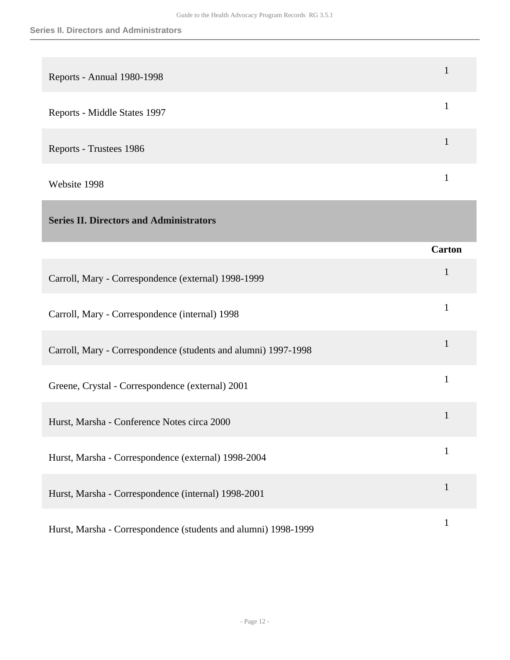<span id="page-11-0"></span>

| Reports - Annual 1980-1998                                     | $\mathbf{1}$  |
|----------------------------------------------------------------|---------------|
| Reports - Middle States 1997                                   | $\mathbf{1}$  |
| Reports - Trustees 1986                                        | $\mathbf{1}$  |
| Website 1998                                                   | $\mathbf{1}$  |
| <b>Series II. Directors and Administrators</b>                 |               |
|                                                                | <b>Carton</b> |
| Carroll, Mary - Correspondence (external) 1998-1999            | $\mathbf{1}$  |
| Carroll, Mary - Correspondence (internal) 1998                 | $\mathbf{1}$  |
| Carroll, Mary - Correspondence (students and alumni) 1997-1998 | $\mathbf{1}$  |
| Greene, Crystal - Correspondence (external) 2001               | $\mathbf{1}$  |
| Hurst, Marsha - Conference Notes circa 2000                    | $\mathbf{1}$  |
| Hurst, Marsha - Correspondence (external) 1998-2004            | $\mathbf{1}$  |
| Hurst, Marsha - Correspondence (internal) 1998-2001            | $\mathbf{1}$  |
| Hurst, Marsha - Correspondence (students and alumni) 1998-1999 | $\mathbf{1}$  |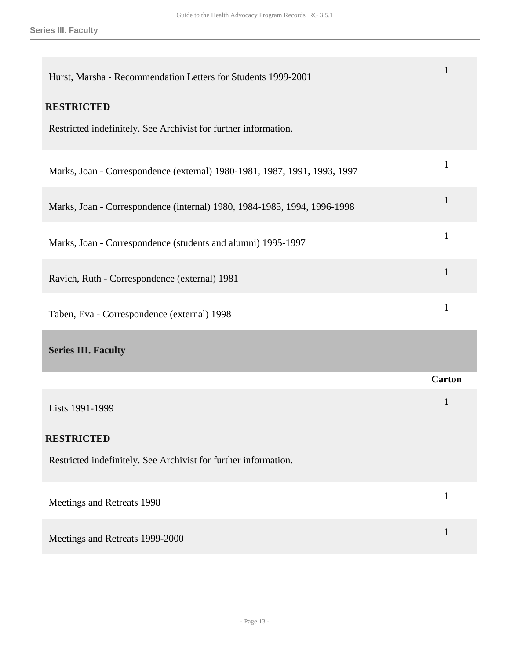<span id="page-12-0"></span>

| Hurst, Marsha - Recommendation Letters for Students 1999-2001             | 1             |
|---------------------------------------------------------------------------|---------------|
| <b>RESTRICTED</b>                                                         |               |
| Restricted indefinitely. See Archivist for further information.           |               |
| Marks, Joan - Correspondence (external) 1980-1981, 1987, 1991, 1993, 1997 | $\mathbf{1}$  |
| Marks, Joan - Correspondence (internal) 1980, 1984-1985, 1994, 1996-1998  | $\mathbf{1}$  |
| Marks, Joan - Correspondence (students and alumni) 1995-1997              | $\mathbf{1}$  |
| Ravich, Ruth - Correspondence (external) 1981                             | $\mathbf{1}$  |
| Taben, Eva - Correspondence (external) 1998                               | $\mathbf{1}$  |
| <b>Series III. Faculty</b>                                                |               |
|                                                                           | <b>Carton</b> |
| Lists 1991-1999                                                           | $\mathbf{1}$  |
| <b>RESTRICTED</b>                                                         |               |
| Restricted indefinitely. See Archivist for further information.           |               |
| Meetings and Retreats 1998                                                | $\mathbf{1}$  |
|                                                                           |               |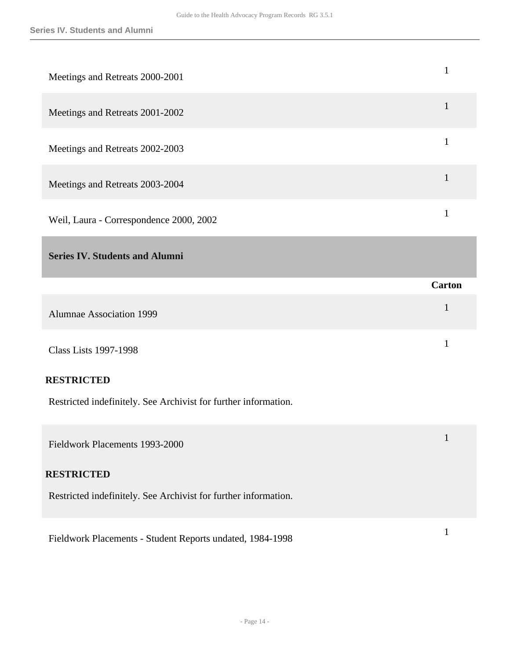<span id="page-13-0"></span>

| Meetings and Retreats 2000-2001                                                      | 1             |
|--------------------------------------------------------------------------------------|---------------|
| Meetings and Retreats 2001-2002                                                      | $\mathbf{1}$  |
| Meetings and Retreats 2002-2003                                                      | $\mathbf{1}$  |
| Meetings and Retreats 2003-2004                                                      | $\mathbf{1}$  |
| Weil, Laura - Correspondence 2000, 2002                                              | $\mathbf{1}$  |
| <b>Series IV. Students and Alumni</b>                                                |               |
|                                                                                      | <b>Carton</b> |
| <b>Alumnae Association 1999</b>                                                      | $\mathbf{1}$  |
|                                                                                      |               |
| <b>Class Lists 1997-1998</b>                                                         | $\mathbf{1}$  |
|                                                                                      |               |
| <b>RESTRICTED</b><br>Restricted indefinitely. See Archivist for further information. |               |
| Fieldwork Placements 1993-2000                                                       | $\mathbf{1}$  |
| <b>RESTRICTED</b>                                                                    |               |
| Restricted indefinitely. See Archivist for further information.                      |               |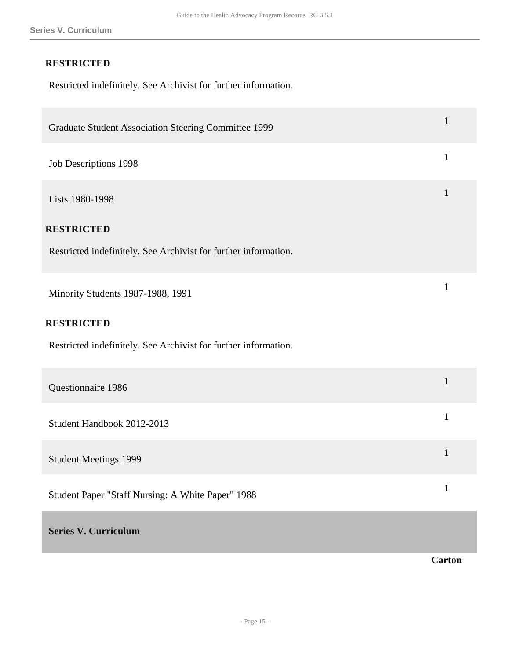### **RESTRICTED**

Restricted indefinitely. See Archivist for further information.

<span id="page-14-0"></span>

| Graduate Student Association Steering Committee 1999            | $\mathbf{1}$  |
|-----------------------------------------------------------------|---------------|
| Job Descriptions 1998                                           | $\mathbf{1}$  |
| Lists 1980-1998                                                 | $\mathbf{1}$  |
| <b>RESTRICTED</b>                                               |               |
| Restricted indefinitely. See Archivist for further information. |               |
| Minority Students 1987-1988, 1991                               | $\mathbf{1}$  |
| <b>RESTRICTED</b>                                               |               |
| Restricted indefinitely. See Archivist for further information. |               |
| Questionnaire 1986                                              | $\mathbf{1}$  |
| Student Handbook 2012-2013                                      | $\mathbf{1}$  |
| <b>Student Meetings 1999</b>                                    | $\mathbf{1}$  |
| Student Paper "Staff Nursing: A White Paper" 1988               | $\mathbf{I}$  |
| <b>Series V. Curriculum</b>                                     |               |
|                                                                 | <b>Carton</b> |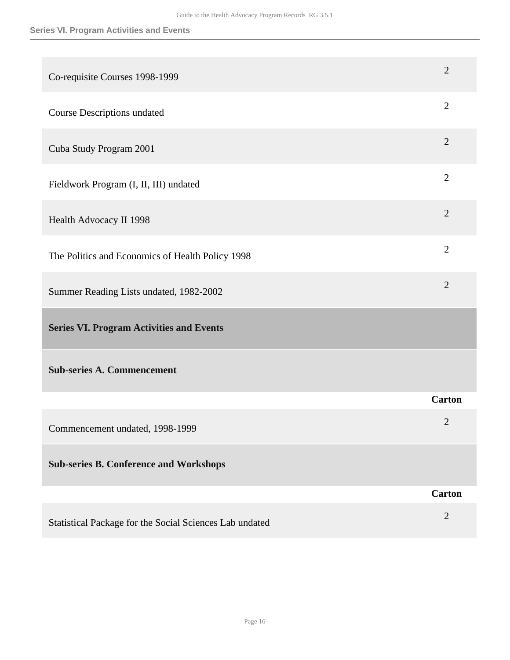<span id="page-15-0"></span>

| Co-requisite Courses 1998-1999                          | $\overline{2}$ |
|---------------------------------------------------------|----------------|
| Course Descriptions undated                             | $\overline{2}$ |
| Cuba Study Program 2001                                 | $\overline{2}$ |
| Fieldwork Program (I, II, III) undated                  | $\overline{2}$ |
| Health Advocacy II 1998                                 | $\overline{2}$ |
| The Politics and Economics of Health Policy 1998        | $\overline{2}$ |
| Summer Reading Lists undated, 1982-2002                 | $\overline{2}$ |
| <b>Series VI. Program Activities and Events</b>         |                |
| <b>Sub-series A. Commencement</b>                       |                |
|                                                         | <b>Carton</b>  |
| Commencement undated, 1998-1999                         | $\overline{2}$ |
| <b>Sub-series B. Conference and Workshops</b>           |                |
|                                                         | <b>Carton</b>  |
| Statistical Package for the Social Sciences Lab undated | $\overline{2}$ |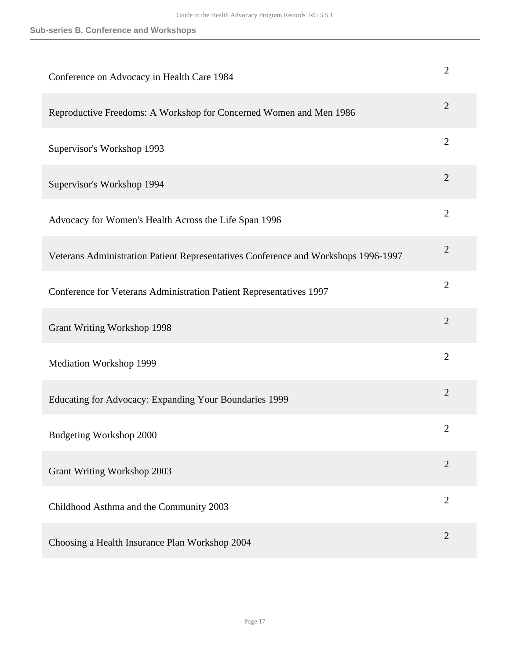| Conference on Advocacy in Health Care 1984                                         | $\overline{2}$ |
|------------------------------------------------------------------------------------|----------------|
| Reproductive Freedoms: A Workshop for Concerned Women and Men 1986                 | $\overline{2}$ |
| Supervisor's Workshop 1993                                                         | $\overline{2}$ |
| Supervisor's Workshop 1994                                                         | $\overline{2}$ |
| Advocacy for Women's Health Across the Life Span 1996                              | $\overline{2}$ |
| Veterans Administration Patient Representatives Conference and Workshops 1996-1997 | $\overline{2}$ |
| Conference for Veterans Administration Patient Representatives 1997                | $\overline{2}$ |
| Grant Writing Workshop 1998                                                        | $\overline{2}$ |
| Mediation Workshop 1999                                                            | $\overline{2}$ |
| Educating for Advocacy: Expanding Your Boundaries 1999                             | $\overline{2}$ |
| Budgeting Workshop 2000                                                            | $\overline{2}$ |
| Grant Writing Workshop 2003                                                        | $\overline{2}$ |
| Childhood Asthma and the Community 2003                                            | $\overline{2}$ |
| Choosing a Health Insurance Plan Workshop 2004                                     | $\overline{2}$ |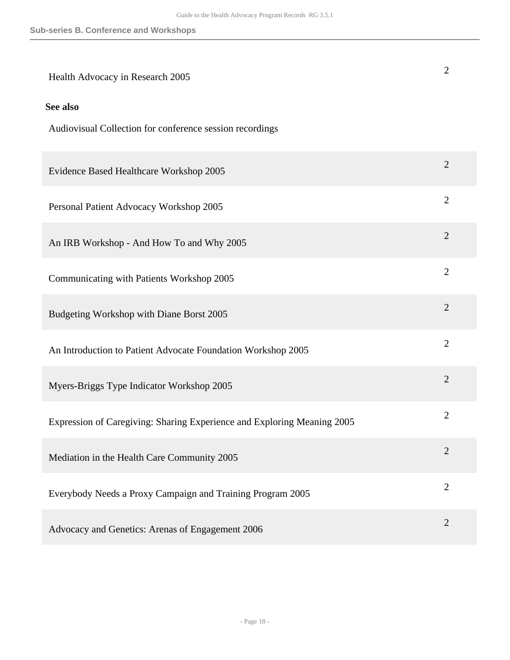| Health Advocacy in Research 2005                                        | 2              |
|-------------------------------------------------------------------------|----------------|
| See also                                                                |                |
| Audiovisual Collection for conference session recordings                |                |
| Evidence Based Healthcare Workshop 2005                                 | $\overline{2}$ |
| Personal Patient Advocacy Workshop 2005                                 | $\overline{2}$ |
| An IRB Workshop - And How To and Why 2005                               | $\overline{2}$ |
| Communicating with Patients Workshop 2005                               | $\overline{2}$ |
| Budgeting Workshop with Diane Borst 2005                                | $\overline{2}$ |
| An Introduction to Patient Advocate Foundation Workshop 2005            | $\overline{2}$ |
| Myers-Briggs Type Indicator Workshop 2005                               | $\overline{2}$ |
| Expression of Caregiving: Sharing Experience and Exploring Meaning 2005 | $\overline{2}$ |
| Mediation in the Health Care Community 2005                             | 2              |
| Everybody Needs a Proxy Campaign and Training Program 2005              | $\overline{2}$ |
| Advocacy and Genetics: Arenas of Engagement 2006                        | 2              |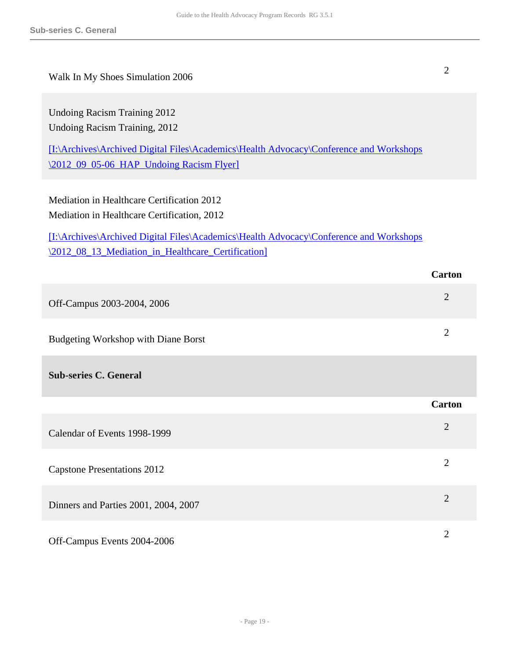| Walk In My Shoes Simulation 2006                                                                                                                                                                                                          | $\overline{2}$ |
|-------------------------------------------------------------------------------------------------------------------------------------------------------------------------------------------------------------------------------------------|----------------|
| <b>Undoing Racism Training 2012</b><br><b>Undoing Racism Training, 2012</b><br>[I:\Archives\Archived Digital Files\Academics\Health Advocacy\Conference and Workshops<br>\2012_09_05-06_HAP_Undoing Racism Flyer]                         |                |
| Mediation in Healthcare Certification 2012<br>Mediation in Healthcare Certification, 2012<br>[I:\Archives\Archived Digital Files\Academics\Health Advocacy\Conference and Workshops<br>\2012_08_13_Mediation_in_Healthcare_Certification] |                |
|                                                                                                                                                                                                                                           | <b>Carton</b>  |
| Off-Campus 2003-2004, 2006                                                                                                                                                                                                                | $\overline{2}$ |
| <b>Budgeting Workshop with Diane Borst</b>                                                                                                                                                                                                | $\overline{2}$ |
| <b>Sub-series C. General</b>                                                                                                                                                                                                              |                |
|                                                                                                                                                                                                                                           | <b>Carton</b>  |
| Calendar of Events 1998-1999                                                                                                                                                                                                              | $\overline{2}$ |
| <b>Capstone Presentations 2012</b>                                                                                                                                                                                                        | $\overline{2}$ |
| Dinners and Parties 2001, 2004, 2007                                                                                                                                                                                                      | $\overline{2}$ |
| Off-Campus Events 2004-2006                                                                                                                                                                                                               | $\overline{2}$ |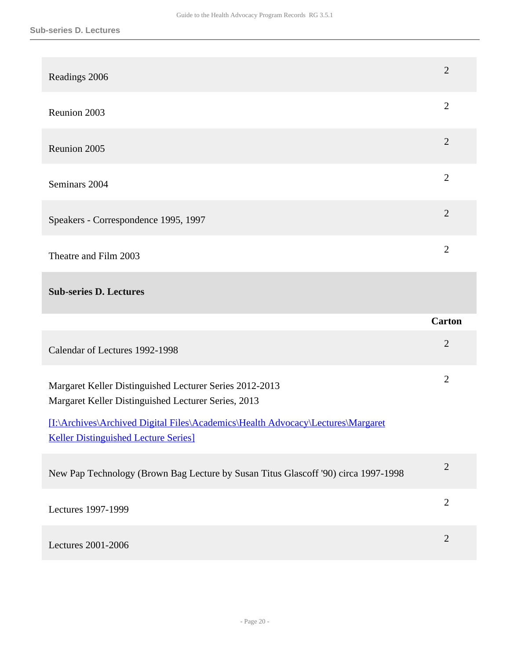| Readings 2006                                                                                                                  | $\overline{2}$ |
|--------------------------------------------------------------------------------------------------------------------------------|----------------|
| Reunion 2003                                                                                                                   | $\mathbf{2}$   |
| Reunion 2005                                                                                                                   | $\overline{2}$ |
| Seminars 2004                                                                                                                  | $\overline{2}$ |
| Speakers - Correspondence 1995, 1997                                                                                           | $\overline{2}$ |
| Theatre and Film 2003                                                                                                          | $\overline{2}$ |
| <b>Sub-series D. Lectures</b>                                                                                                  |                |
|                                                                                                                                |                |
|                                                                                                                                | <b>Carton</b>  |
| Calendar of Lectures 1992-1998                                                                                                 | $\overline{2}$ |
| Margaret Keller Distinguished Lecturer Series 2012-2013<br>Margaret Keller Distinguished Lecturer Series, 2013                 | $\overline{2}$ |
| [I:\Archives\Archived Digital Files\Academics\Health Advocacy\Lectures\Margaret<br><b>Keller Distinguished Lecture Series]</b> |                |
| New Pap Technology (Brown Bag Lecture by Susan Titus Glascoff '90) circa 1997-1998                                             | $\overline{2}$ |
| Lectures 1997-1999                                                                                                             | $\overline{2}$ |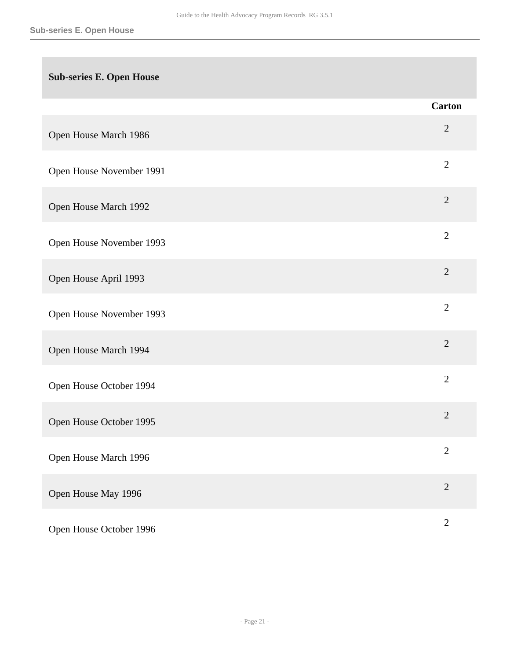| <b>Sub-series E. Open House</b> |                |
|---------------------------------|----------------|
|                                 | <b>Carton</b>  |
| Open House March 1986           | $\overline{2}$ |
| Open House November 1991        | $\mathbf{2}$   |
| Open House March 1992           | $\mathbf{2}$   |
| Open House November 1993        | $\mathbf{2}$   |
| Open House April 1993           | $\overline{2}$ |
| Open House November 1993        | $\overline{2}$ |
| Open House March 1994           | $\overline{2}$ |
| Open House October 1994         | $\overline{2}$ |
| Open House October 1995         | $\overline{2}$ |
| Open House March 1996           | $\mathbf{2}$   |
| Open House May 1996             | $\overline{2}$ |
| Open House October 1996         | $\sqrt{2}$     |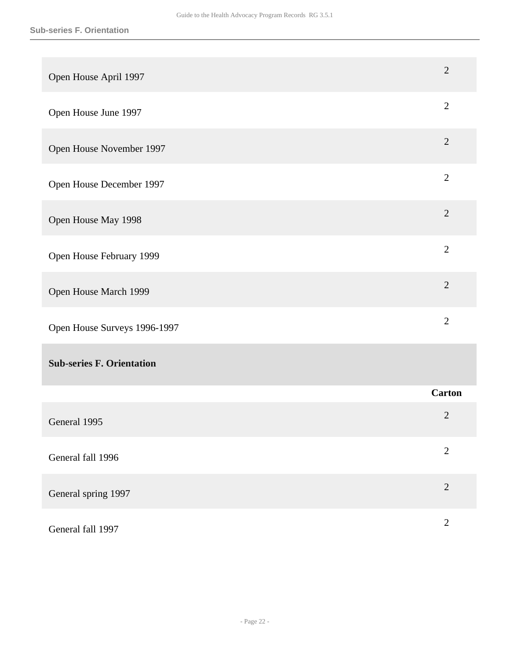| Open House April 1997            | $\overline{2}$ |
|----------------------------------|----------------|
| Open House June 1997             | $\overline{2}$ |
| Open House November 1997         | $\overline{2}$ |
| Open House December 1997         | $\overline{2}$ |
| Open House May 1998              | $\overline{2}$ |
| Open House February 1999         | $\overline{2}$ |
| Open House March 1999            | $\overline{2}$ |
| Open House Surveys 1996-1997     | $\overline{2}$ |
| <b>Sub-series F. Orientation</b> |                |
|                                  | <b>Carton</b>  |
| General 1995                     | $\overline{2}$ |
| General fall 1996                | $\overline{2}$ |
| General spring 1997              | $\overline{2}$ |
| General fall 1997                | $\overline{2}$ |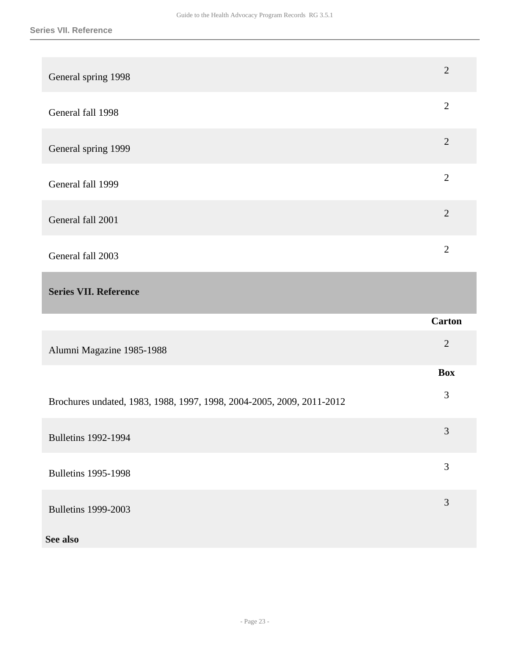<span id="page-22-0"></span>

| General spring 1998                                                   | $\overline{2}$ |
|-----------------------------------------------------------------------|----------------|
| General fall 1998                                                     | $\overline{2}$ |
| General spring 1999                                                   | $\overline{2}$ |
| General fall 1999                                                     | $\mathbf{2}$   |
| General fall 2001                                                     | $\overline{2}$ |
| General fall 2003                                                     | $\mathbf{2}$   |
| <b>Series VII. Reference</b>                                          |                |
|                                                                       | <b>Carton</b>  |
| Alumni Magazine 1985-1988                                             | $\sqrt{2}$     |
|                                                                       | <b>Box</b>     |
| Brochures undated, 1983, 1988, 1997, 1998, 2004-2005, 2009, 2011-2012 | 3              |
| <b>Bulletins 1992-1994</b>                                            | $\mathfrak{Z}$ |
|                                                                       |                |
| <b>Bulletins 1995-1998</b>                                            | $\mathfrak{Z}$ |
| <b>Bulletins 1999-2003</b>                                            | $\mathfrak{Z}$ |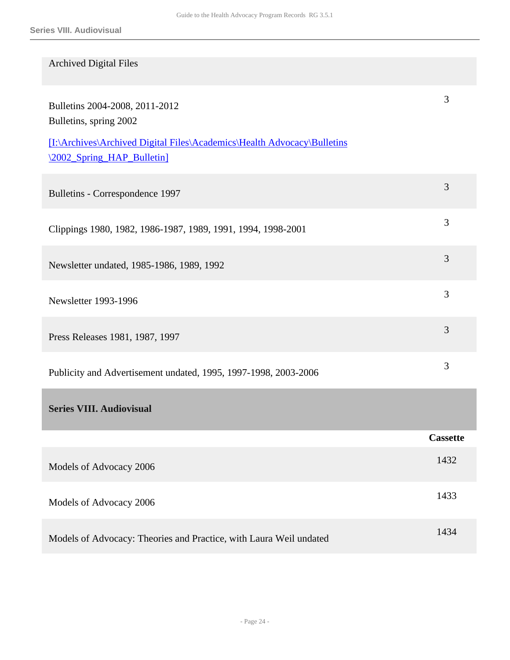<span id="page-23-0"></span>

| <b>Archived Digital Files</b>                                                                       |                 |
|-----------------------------------------------------------------------------------------------------|-----------------|
| Bulletins 2004-2008, 2011-2012<br>Bulletins, spring 2002                                            | 3               |
| [I:\Archives\Archived Digital Files\Academics\Health Advocacy\Bulletins<br>2002 Spring HAP Bulletin |                 |
| Bulletins - Correspondence 1997                                                                     | 3               |
| Clippings 1980, 1982, 1986-1987, 1989, 1991, 1994, 1998-2001                                        | 3               |
| Newsletter undated, 1985-1986, 1989, 1992                                                           | 3               |
| Newsletter 1993-1996                                                                                | 3               |
| Press Releases 1981, 1987, 1997                                                                     | 3               |
| Publicity and Advertisement undated, 1995, 1997-1998, 2003-2006                                     | 3               |
| <b>Series VIII. Audiovisual</b>                                                                     |                 |
|                                                                                                     | <b>Cassette</b> |
| Models of Advocacy 2006                                                                             | 1432            |
| Models of Advocacy 2006                                                                             | 1433            |
| Models of Advocacy: Theories and Practice, with Laura Weil undated                                  | 1434            |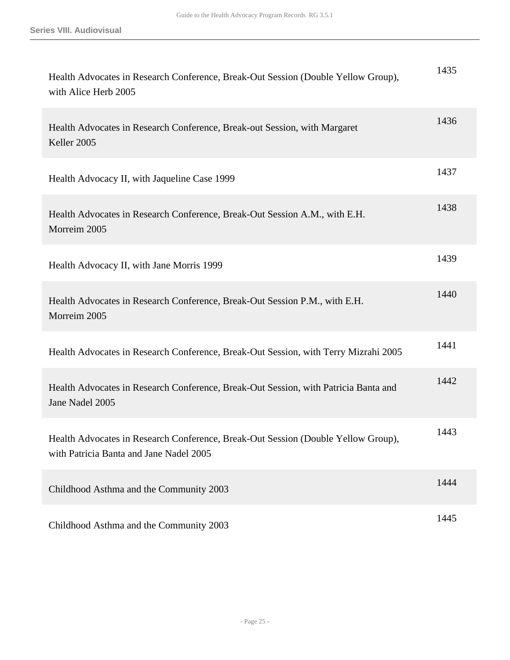| Health Advocates in Research Conference, Break-Out Session (Double Yellow Group),<br>with Alice Herb 2005                    | 1435 |
|------------------------------------------------------------------------------------------------------------------------------|------|
| Health Advocates in Research Conference, Break-out Session, with Margaret<br>Keller 2005                                     | 1436 |
| Health Advocacy II, with Jaqueline Case 1999                                                                                 | 1437 |
| Health Advocates in Research Conference, Break-Out Session A.M., with E.H.<br>Morreim 2005                                   | 1438 |
| Health Advocacy II, with Jane Morris 1999                                                                                    | 1439 |
| Health Advocates in Research Conference, Break-Out Session P.M., with E.H.<br>Morreim 2005                                   | 1440 |
| Health Advocates in Research Conference, Break-Out Session, with Terry Mizrahi 2005                                          | 1441 |
| Health Advocates in Research Conference, Break-Out Session, with Patricia Banta and<br>Jane Nadel 2005                       | 1442 |
| Health Advocates in Research Conference, Break-Out Session (Double Yellow Group),<br>with Patricia Banta and Jane Nadel 2005 | 1443 |
| Childhood Asthma and the Community 2003                                                                                      | 1444 |
| Childhood Asthma and the Community 2003                                                                                      | 1445 |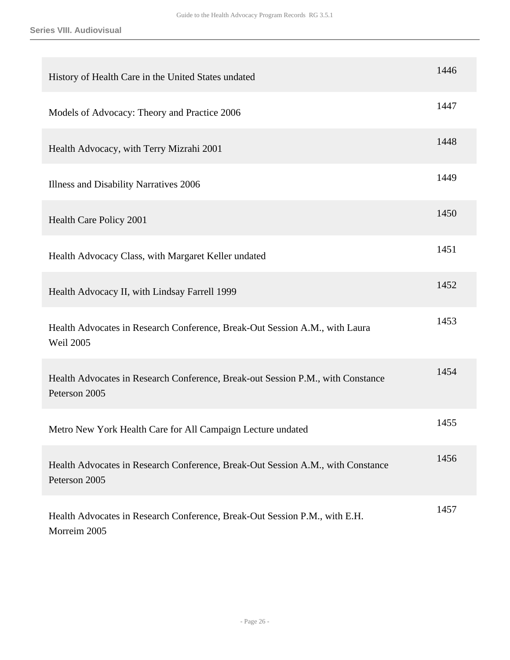**Series VIII. Audiovisual**

| History of Health Care in the United States undated                                              | 1446 |
|--------------------------------------------------------------------------------------------------|------|
| Models of Advocacy: Theory and Practice 2006                                                     | 1447 |
| Health Advocacy, with Terry Mizrahi 2001                                                         | 1448 |
| Illness and Disability Narratives 2006                                                           | 1449 |
| Health Care Policy 2001                                                                          | 1450 |
| Health Advocacy Class, with Margaret Keller undated                                              | 1451 |
| Health Advocacy II, with Lindsay Farrell 1999                                                    | 1452 |
| Health Advocates in Research Conference, Break-Out Session A.M., with Laura<br><b>Weil 2005</b>  | 1453 |
| Health Advocates in Research Conference, Break-out Session P.M., with Constance<br>Peterson 2005 | 1454 |
| Metro New York Health Care for All Campaign Lecture undated                                      | 1455 |
| Health Advocates in Research Conference, Break-Out Session A.M., with Constance<br>Peterson 2005 | 1456 |
| Health Advocates in Research Conference, Break-Out Session P.M., with E.H.<br>Morreim 2005       | 1457 |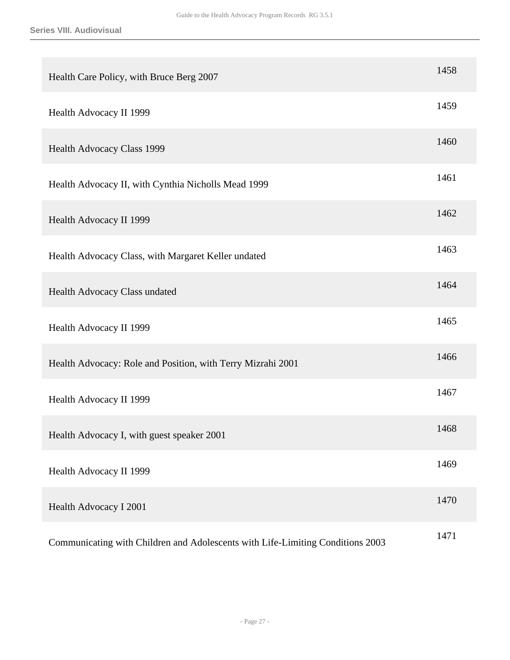| Health Care Policy, with Bruce Berg 2007                                       | 1458 |
|--------------------------------------------------------------------------------|------|
| Health Advocacy II 1999                                                        | 1459 |
| Health Advocacy Class 1999                                                     | 1460 |
| Health Advocacy II, with Cynthia Nicholls Mead 1999                            | 1461 |
| Health Advocacy II 1999                                                        | 1462 |
| Health Advocacy Class, with Margaret Keller undated                            | 1463 |
| Health Advocacy Class undated                                                  | 1464 |
| Health Advocacy II 1999                                                        | 1465 |
| Health Advocacy: Role and Position, with Terry Mizrahi 2001                    | 1466 |
| Health Advocacy II 1999                                                        | 1467 |
| Health Advocacy I, with guest speaker 2001                                     | 1468 |
| Health Advocacy II 1999                                                        | 1469 |
| Health Advocacy I 2001                                                         | 1470 |
| Communicating with Children and Adolescents with Life-Limiting Conditions 2003 | 1471 |